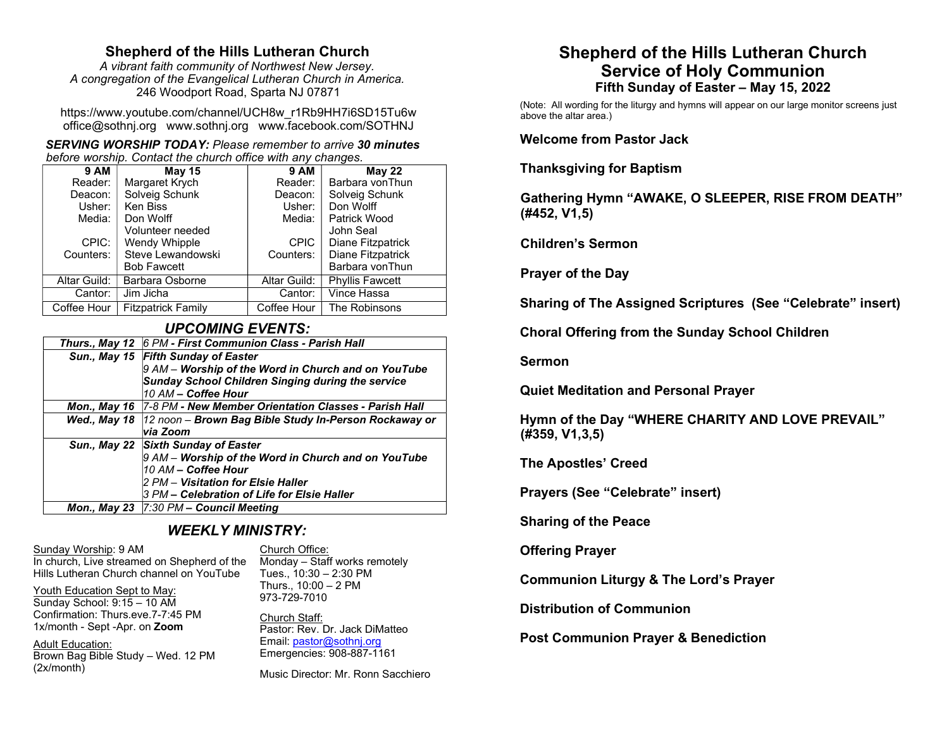# Shepherd of the Hills Lutheran Church

A vibrant faith community of Northwest New Jersey. A congregation of the Evangelical Lutheran Church in America. 246 Woodport Road, Sparta NJ 07871

https://www.youtube.com/channel/UCH8w\_r1Rb9HH7i6SD15Tu6w office@sothnj.org www.sothnj.org www.facebook.com/SOTHNJ

SERVING WORSHIP TODAY: Please remember to arrive 30 minutes before worship. Contact the church office with any changes.

| <b>9 AM</b>  | <b>May 15</b>             | <b>9 AM</b>  | <b>May 22</b>          |
|--------------|---------------------------|--------------|------------------------|
| Reader:      | Margaret Krych            | Reader:      | Barbara vonThun        |
| Deacon:      | Solveig Schunk            | Deacon:      | Solveig Schunk         |
| Usher:       | Ken Biss                  | Usher:       | Don Wolff              |
| Media:       | Don Wolff                 | Media:       | Patrick Wood           |
|              | Volunteer needed          |              | John Seal              |
| CPIC:        | Wendy Whipple             | <b>CPIC</b>  | Diane Fitzpatrick      |
| Counters:    | Steve Lewandowski         | Counters:    | Diane Fitzpatrick      |
|              | <b>Bob Fawcett</b>        |              | Barbara vonThun        |
| Altar Guild: | Barbara Osborne           | Altar Guild: | <b>Phyllis Fawcett</b> |
| Cantor:      | Jim Jicha                 | Cantor:      | Vince Hassa            |
| Coffee Hour  | <b>Fitzpatrick Family</b> | Coffee Hour  | The Robinsons          |

## UPCOMING EVENTS:

| Thurs., May 12 6 PM - First Communion Class - Parish Hall            |  |
|----------------------------------------------------------------------|--|
| Sun., May 15 Fifth Sunday of Easter                                  |  |
| $9$ AM – Worship of the Word in Church and on YouTube                |  |
| <b>Sunday School Children Singing during the service</b>             |  |
| 10 AM - Coffee Hour                                                  |  |
| Mon., May 16   7-8 PM - New Member Orientation Classes - Parish Hall |  |
| Wed., May 18   12 noon – Brown Bag Bible Study In-Person Rockaway or |  |
| via Zoom                                                             |  |
| Sun., May 22 Sixth Sunday of Easter                                  |  |
| 9 AM – Worship of the Word in Church and on YouTube                  |  |
| 10 AM - Coffee Hour                                                  |  |
| 2 PM – Visitation for Elsie Haller                                   |  |
| 3 PM – Celebration of Life for Elsie Haller                          |  |
| Mon., May 23 $ 7:30$ PM - Council Meeting                            |  |

## WEEKLY MINISTRY:

Sunday Worship: 9 AM In church, Live streamed on Shepherd of the Hills Lutheran Church channel on YouTube

Church Office: Monday – Staff works remotely Tues., 10:30 – 2:30 PM Thurs., 10:00 – 2 PM

Youth Education Sept to May: Sunday School: 9:15 – 10 AM Confirmation: Thurs.eve.7-7:45 PM 1x/month - Sept -Apr. on Zoom

Adult Education: Brown Bag Bible Study – Wed. 12 PM (2x/month)

973-729-7010 Church Staff:

Pastor: Rev. Dr. Jack DiMatteo Email: pastor@sothnj.org Emergencies: 908-887-1161

Music Director: Mr. Ronn Sacchiero

# Shepherd of the Hills Lutheran Church Service of Holy Communion Fifth Sunday of Easter – May 15, 2022

(Note: All wording for the liturgy and hymns will appear on our large monitor screens just above the altar area.)

Welcome from Pastor Jack

Thanksgiving for Baptism

Gathering Hymn "AWAKE, O SLEEPER, RISE FROM DEATH" (#452, V1,5)

Children's Sermon

Prayer of the Day

Sharing of The Assigned Scriptures (See "Celebrate" insert)

Choral Offering from the Sunday School Children

Sermon

Quiet Meditation and Personal Prayer

Hymn of the Day "WHERE CHARITY AND LOVE PREVAIL" (#359, V1,3,5)

The Apostles' Creed

Prayers (See "Celebrate" insert)

Sharing of the Peace

Offering Prayer

Communion Liturgy & The Lord's Prayer

Distribution of Communion

Post Communion Prayer & Benediction